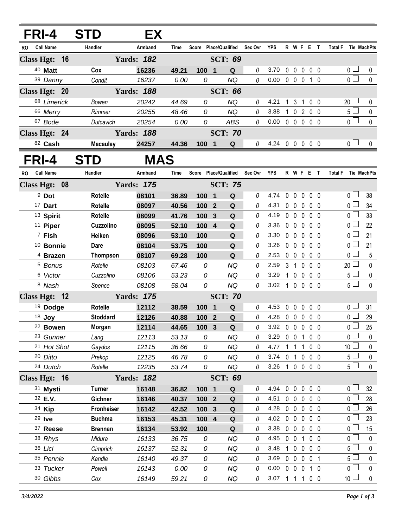| FRI-4         |                          | <b>STD</b>        | EX                |                |                       |                         |                        |             |                |              |                            |                   |                              |                                  |                 |
|---------------|--------------------------|-------------------|-------------------|----------------|-----------------------|-------------------------|------------------------|-------------|----------------|--------------|----------------------------|-------------------|------------------------------|----------------------------------|-----------------|
| RO.           | <b>Call Name</b>         | Handler           | Armband           | Time           |                       |                         | Score Place/Qualified  | Sec Ovr YPS |                |              |                            | R W F E T         |                              | Total F Tie MachPts              |                 |
| Class Hgt: 16 |                          |                   | <b>Yards: 182</b> |                |                       |                         | <b>SCT: 69</b>         |             |                |              |                            |                   |                              |                                  |                 |
|               | 40 Matt                  | Cox               | 16236             | 49.21          | 100 1                 |                         | Q                      | 0           | 3.70           | $\mathbf 0$  | $\mathbf 0$                | $0\quad 0\quad 0$ |                              | 0 <sup>1</sup>                   | 0               |
|               | 39 Danny                 | Condit            | 16237             | 0.00           | 0                     |                         | <b>NQ</b>              | 0           | 0.00           |              | $0\quad 0\quad 0$          |                   | $1\quad0$                    | $\overline{0}$                   | $\mathbf 0$     |
|               | Class Hgt: 20            |                   | <b>Yards: 188</b> |                |                       |                         | <b>SCT: 66</b>         |             |                |              |                            |                   |                              |                                  |                 |
|               | 68 Limerick              | Bowen             | 20242             | 44.69          | 0                     |                         | <b>NQ</b>              | 0           | 4.21           |              | 1 <sub>3</sub>             | $\overline{1}$    | $0\quad 0$                   | $20$ $\Box$                      | 0               |
|               | 66 Merry                 | Rimmer            | 20255             | 48.46          | 0                     |                         | <b>NQ</b>              | 0           | 3.88           | $\mathbf{1}$ | $\mathbf 0$                | $\overline{2}$    | 0 <sub>0</sub>               | 5 <sub>1</sub>                   | $\pmb{0}$       |
|               | 67 Bode                  | Dutcavich         | 20254             | 0.00           | 0                     |                         | <b>ABS</b>             | 0           | 0.00           |              |                            | 00000             |                              | $\overline{0}$                   | $\mathbf 0$     |
|               | Class Hgt: 24            |                   | <b>Yards: 188</b> |                |                       |                         | <b>SCT: 70</b>         |             |                |              |                            |                   |                              |                                  |                 |
|               | 82 Cash                  | <b>Macaulay</b>   | 24257             | 44.36          | 100 1                 |                         | Q                      | 0           | 4.24 0 0 0 0 0 |              |                            |                   |                              | 0 <sub>0</sub>                   | $\mathbf{0}$    |
| FRI-4         |                          | <b>STD</b>        | <b>MAS</b>        |                |                       |                         |                        |             |                |              |                            |                   |                              |                                  |                 |
| <b>RO</b>     | <b>Call Name</b>         | Handler           | Armband           | Time           | Score Place/Qualified |                         |                        | Sec Ovr YPS |                |              |                            | R W F E T         |                              | Total F Tie MachPts              |                 |
|               | Class Hgt: 08            |                   | <b>Yards: 175</b> |                |                       |                         | <b>SCT: 75</b>         |             |                |              |                            |                   |                              |                                  |                 |
|               | <sup>9</sup> Dot         | <b>Rotelle</b>    | 08101             | 36.89          | 100                   | $\overline{\mathbf{1}}$ | Q                      | 0           | 4.74           | $\mathbf 0$  | $\mathbf 0$                | 0                 | $0\quad 0$                   | 0 <sub>0</sub>                   | 38              |
|               | 17 Dart                  | <b>Rotelle</b>    | 08097             | 40.56          | 100 2                 |                         | Q                      | 0           | 4.31           |              |                            | 0 0 0 0 0         |                              | 0 <sup>1</sup>                   | 34              |
|               | <sup>13</sup> Spirit     | <b>Rotelle</b>    | 08099             | 41.76          | 100                   | $\mathbf{3}$            | Q                      | 0           | 4.19           |              | $0\quad 0\quad 0$          |                   | 0 <sub>0</sub>               | 0 <sup>1</sup>                   | 33              |
|               | <sup>11</sup> Piper      | Cuzzolino         | 08095             | 52.10          | 100 4                 |                         | Q                      | 0           | 3.36           |              | $0\quad 0\quad 0$          |                   | 0 <sub>0</sub>               | $\overline{0}$                   | 22              |
|               | $7$ Fish                 | Heiken            | 08096             | 53.10          | 100                   |                         | Q                      | 0           | 3.30           |              | $0\quad 0$                 | 0                 | 0 <sub>0</sub>               | 0 <sup>1</sup>                   | 21              |
|               | <sup>10</sup> Bonnie     | <b>Dare</b>       | 08104             | 53.75          | 100                   |                         | ${\bf Q}$              | 0           | 3.26           |              | $0\quad 0$                 | $\mathbf 0$       | 0 <sub>0</sub>               | 0 <sub>l</sub>                   | 21              |
|               | <sup>4</sup> Brazen      | <b>Thompson</b>   | 08107             | 69.28          | 100                   |                         | Q                      | 0           | 2.53           |              | $0\quad 0$                 | 0                 | 0 <sub>0</sub>               | 0 <sub>1</sub>                   | 5               |
|               | <sup>5</sup> Bonus       | Rotelle           | 08103             | 67.46          | 0                     |                         | <b>NQ</b>              | 0           | 2.59           |              | 3 <sub>1</sub>             | $\mathbf 0$       | 0 <sub>0</sub>               | $20 \Box$                        | $\pmb{0}$       |
|               | 6 Victor                 | Cuzzolino         | 08106             | 53.23          | 0                     |                         | <b>NQ</b>              | 0           | 3.29           | $\mathbf{1}$ | $\mathbf 0$                | $\mathbf 0$       | 0 <sub>0</sub>               | 5 <sub>1</sub>                   | $\pmb{0}$       |
|               | 8 Nash                   | Spence            | 08108             | 58.04          | 0                     |                         | <b>NQ</b>              | 0           | 3.02           |              |                            | 1 0 0 0 0         |                              | $5\Box$                          | $\mathbf 0$     |
|               | Class Hgt: 12            |                   | <b>Yards: 175</b> |                |                       |                         | <b>SCT: 70</b>         |             |                |              |                            |                   |                              |                                  |                 |
|               | <sup>19</sup> Dodge      | <b>Rotelle</b>    | 12112             | 38.59          | 100                   | $\mathbf 1$             | Q                      | 0           | 4.53           | 0            | $\mathbf 0$                | $\mathbf{0}$      | 0 <sub>0</sub>               | 0 <sub>0</sub><br>$\overline{0}$ | 31              |
|               | 18 Joy                   | <b>Stoddard</b>   | 12126             | 40.88          | 100 2                 |                         | Q                      | 0           | 4.28           |              |                            | 00000             |                              |                                  | 29              |
|               | 22 Bowen                 | Morgan            | 12114             | 44.65          | 100 3                 |                         | Q                      | 0           | 3.92<br>3.29   |              |                            | 00000             |                              | 0 <sub>0</sub><br>0 <sub>l</sub> | 25<br>$\pmb{0}$ |
|               | 23 Gunner<br>21 Hot Shot | Lang<br>Gaydos    | 12113<br>12115    | 53.13<br>36.66 | 0<br>0                |                         | <b>NQ</b><br><b>NQ</b> | 0<br>0      | 4.77           |              | $0 \t0 \t1$<br>$1 \t1 \t1$ |                   | $0\quad 0$<br>0 <sub>0</sub> | 10 $\lfloor$                     | 0               |
|               | 20 Ditto                 | Prekop            | 12125             | 46.78          | 0                     |                         | NQ                     | 0           | 3.74 0 1 0 0 0 |              |                            |                   |                              | $5\perp$                         | 0               |
|               | 24 Dutch                 | Rotelle           | 12235             | 53.74          | 0                     |                         | <b>NQ</b>              | 0           | 3.26 1 0 0 0 0 |              |                            |                   |                              | 5 <sub>1</sub>                   | 0               |
|               | Class Hgt: 16            |                   | <b>Yards: 182</b> |                |                       |                         | <b>SCT: 69</b>         |             |                |              |                            |                   |                              |                                  |                 |
|               | 31 Mysti                 | <b>Turner</b>     | 16148             | 36.82          | 100 1                 |                         | Q                      | 0           | 4.94           |              | $0\quad 0$                 | $\mathbf 0$       | $0\quad 0$                   | 0 <sub>0</sub>                   | 32              |
|               | 32 E.V.                  | Gichner           | 16146             | 40.37          | 100 2                 |                         | $\mathbf Q$            | 0           | 4.51           |              | $0\quad 0\quad 0$          |                   | $0\quad 0$                   | 0 <sub>0</sub>                   | 28              |
|               | 34 Kip                   | <b>Fronheiser</b> | 16142             | 42.52          | 100 <sub>3</sub>      |                         | ${\bf Q}$              | 0           | 4.28           |              |                            | 00000             |                              | 0 <sup>1</sup>                   | 26              |
|               | 29 Ive                   | <b>Buchma</b>     | 16153             | 45.31          | 100 4                 |                         | $\mathbf Q$            | 0           | 4.02           |              | $0\quad 0\quad 0$          |                   | 0 <sub>0</sub>               | 0 l                              | 23              |
|               | 37 Reese                 | <b>Brennan</b>    | 16134             | 53.92          | 100                   |                         | Q                      | 0           | 3.38           |              | $0\quad 0\quad 0$          |                   | $0\quad 0$                   | 0 <sub>0</sub>                   | 15              |
|               | 38 Rhys                  | Midura            | 16133             | 36.75          | 0                     |                         | <b>NQ</b>              | 0           | 4.95           |              | $0 \t0 \t1$                |                   | $0\quad 0$                   | 0 <sub>l</sub>                   | 0               |
|               | 36 Lici                  | Cimprich          | 16137             | 52.31          | 0                     |                         | NQ                     | 0           | 3.48           |              |                            | 1 0 0 0 0         |                              | 5 ∟                              | 0               |
|               | 35 Pennie                | Kandle            | 16140             | 49.37          | 0                     |                         | <b>NQ</b>              | 0           | 3.69           |              | $0\quad 0\quad 0$          |                   | 0 <sub>1</sub>               | 5 l                              | 0               |
|               | 33 Tucker                | Powell            | 16143             | 0.00           | 0                     |                         | <b>NQ</b>              | 0           | 0.00           |              | $0\quad 0\quad 0$          |                   | 1 0                          | 0 <sup>1</sup>                   | 0               |
|               | 30 Gibbs                 | Cox               | 16149             | 59.21          | 0                     |                         | NQ                     | 0           | 3.07 1 1 1 0 0 |              |                            |                   |                              | 10 <sup>1</sup>                  | $\pmb{0}$       |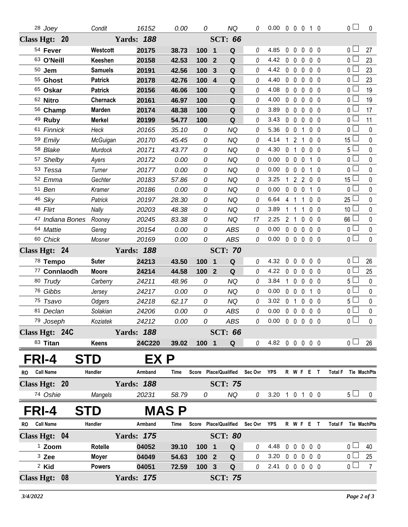| 28 Joey                       | Condit            | 16152             | 0.00        | 0                     |                         | <b>NQ</b>             | 0        | $0.00 \t0 \t0 \t0 \t1 \t0$ |              |                   |                |                                 |                | $\overline{0}$      | 0              |
|-------------------------------|-------------------|-------------------|-------------|-----------------------|-------------------------|-----------------------|----------|----------------------------|--------------|-------------------|----------------|---------------------------------|----------------|---------------------|----------------|
| Class Hgt: 20                 | <b>Yards: 188</b> |                   |             |                       | <b>SCT: 66</b>          |                       |          |                            |              |                   |                |                                 |                |                     |                |
| 54 Fever                      | Westcott          | 20175             | 38.73       | 100                   | $\overline{\mathbf{1}}$ | Q                     | 0        | 4.85                       | $\mathbf 0$  | $\hat{0}$         | 0              | 0 <sub>0</sub>                  |                | 0 <sub>0</sub>      | 27             |
| 63 O'Neill                    | Keeshen           | 20158             | 42.53       | 100                   | $\overline{2}$          | Q                     | 0        | 4.42                       |              | $0\quad 0$        | 0              | 0 <sub>0</sub>                  |                | 0 L                 | 23             |
| $50$ Jem                      | <b>Samuels</b>    | 20191             | 42.56       | 100                   | $\mathbf{3}$            | Q                     | 0        | 4.42                       |              | $0\quad 0\quad 0$ |                | $0\quad 0$                      |                | 0 <sub>0</sub>      | 23             |
| 55 Ghost                      | <b>Patrick</b>    | 20178             | 42.76       | 100                   | $\overline{4}$          | Q                     | 0        | 4.40                       |              | $0\quad 0$        | 0              | 0 <sub>0</sub>                  |                | 0 l                 | 23             |
| 65 Oskar                      | <b>Patrick</b>    | 20156             | 46.06       | 100                   |                         | Q                     | 0        | 4.08                       |              | $0\quad 0$        | $\mathbf 0$    | 0 <sub>0</sub>                  |                | 0 <sub>0</sub>      | 19             |
| 62 Nitro                      | <b>Chernack</b>   | 20161             | 46.97       | 100                   |                         | Q                     | 0        | 4.00                       |              | 0 <sub>0</sub>    | 0              | 0 <sub>0</sub>                  |                | 0 l                 | 19             |
| 56 Champ                      | <b>Marden</b>     | 20174             | 48.38       | 100                   |                         | ${\bf Q}$             | 0        | 3.89                       |              | $0\quad 0$        | $\mathbf 0$    | 0 <sub>0</sub>                  |                | 0 L                 | 17             |
| 49 Ruby                       | <b>Merkel</b>     | 20199             | 54.77       | 100                   |                         | Q                     | 0        | 3.43                       |              | $0\quad 0$        | 0              | 0 <sub>0</sub>                  |                | 0 l                 | 11             |
| 61 Finnick                    | Heck              | 20165             | 35.10       | 0                     |                         | <b>NQ</b>             | 0        | 5.36                       |              | $0\quad 0$        | 1              | 0 <sub>0</sub>                  |                | $0-$                | $\mathbf 0$    |
| 59 Emily                      | McGuigan          | 20170             | 45.45       | 0                     |                         | <b>NQ</b>             | 0        | 4.14                       | 1            | $2^{\circ}$       | $\mathbf{1}$   | $0\quad 0$                      |                | 15 <sup>1</sup>     | $\mathbf{0}$   |
| 58 Blake                      | Murdock           | 20171             | 43.77       | 0                     |                         | <b>NQ</b>             | 0        | 4.30                       | 0            | $\mathbf{1}$      | 0              | $0\quad 0$                      |                | 5 <sub>1</sub>      | $\pmb{0}$      |
| 57 Shelby                     | Ayers             | 20172             | 0.00        | 0                     |                         | <b>NQ</b>             | 0        | 0.00                       |              | $0\quad 0\quad 0$ |                | 1 0                             |                | 0 L                 | 0              |
| 53 Tessa                      | Turner            | 20177             | 0.00        | 0                     |                         | <b>NQ</b>             | 0        | 0.00                       |              | $0\quad 0\quad 0$ |                | $1\quad0$                       |                | $0-$                | $\mathbf 0$    |
| 52 Emma                       | Gechter           | 20183             | 57.86       | 0                     |                         | <b>NQ</b>             | 0        | 3.25                       | 1            |                   |                | 2200                            |                | 15 <sup>1</sup>     | 0              |
| 51 Ben                        | Kramer            | 20186             | 0.00        | 0                     |                         | <b>NQ</b>             | 0        | 0.00                       | $\mathbf 0$  | $0\quad 0$        |                | 1 0                             |                | 0 <sup>1</sup>      | $\pmb{0}$      |
| 46 Sky                        | Patrick           | 20197             | 28.30       | 0                     |                         | <b>NQ</b>             | 0        | 6.64                       |              | 4 1               | $\overline{1}$ | 0 <sub>0</sub>                  |                | 25 <sup>1</sup>     | 0              |
| 48 Flirt                      | Nally             | 20203             | 48.38       | 0                     |                         | <b>NQ</b>             | 0        | 3.89                       | 1            | $\overline{1}$    | 1              | 0 <sub>0</sub>                  |                | 10 <sup>1</sup>     | 0              |
| 47 Indiana Bones Rooney       |                   | 20245             | 83.38       | 0                     |                         | <b>NQ</b>             | 17       | 2.25                       |              | 2 <sub>1</sub>    | 0              | 0 <sub>0</sub>                  |                | 66 <sup>1</sup>     | 0              |
| 64 Mattie                     | Gereg             | 20154             | 0.00        | 0                     |                         | <b>ABS</b>            | 0        | 0.00                       |              |                   |                | 00000                           |                | 0 L                 | $\pmb{0}$      |
| 60 Chick                      | Mosner            | 20169             | 0.00        | 0                     |                         | <b>ABS</b>            | 0        | 0.00                       |              |                   |                | $0\quad 0\quad 0\quad 0\quad 0$ |                | 0 <sup>1</sup>      | $\mathbf 0$    |
| Class Hgt: 24                 |                   | <b>Yards: 188</b> |             |                       |                         | <b>SCT: 70</b>        |          |                            |              |                   |                |                                 |                |                     |                |
| 78 Tempo                      | <b>Suter</b>      | 24213             | 43.50       | 100                   | $\overline{\mathbf{1}}$ | Q                     | 0        | 4.32                       |              |                   |                | 00000                           |                | 0 L                 | 26             |
| 77 Connlaodh                  | <b>Moore</b>      | 24214             | 44.58       | 100                   | $\overline{2}$          | Q                     | 0        | 4.22                       | $\mathbf 0$  | $\mathbf{0}$      | $\mathbf{0}$   | $0\quad 0$                      |                | 0 l                 | 25             |
| 80 Trudy                      | Carberry          | 24211             | 48.96       | 0                     |                         | <b>NQ</b>             | 0        | 3.84                       | $\mathbf{1}$ | $0\quad 0$        |                | 0 <sub>0</sub>                  |                | 5 L                 | $\mathbf 0$    |
| 76 Gibbs                      | Jersey            | 24217             | 0.00        | 0                     |                         | <b>NQ</b>             | 0        | 0.00                       |              | $0\quad 0\quad 0$ |                | 10                              |                | 0 l                 | $\pmb{0}$      |
| 75 Tsavo                      | Odgers            | 24218             | 62.17       | 0                     |                         | <b>NQ</b>             | $\theta$ | 3.02                       |              | 0 <sub>1</sub>    | 0              | $0\quad 0$                      |                | 5 <sup>1</sup>      | $\pmb{0}$      |
| 81 Declan                     | Solakian          | 24206             | 0.00        | 0                     |                         | <b>ABS</b>            | 0        | 0.00                       |              |                   |                | 0 0 0 0 0                       |                | 0 l                 | $\pmb{0}$      |
| 79 Joseph                     | Koziatek          | 24212             | 0.00        | 0                     |                         | ABS                   | 0        | 0.00 0 0 0 0 0             |              |                   |                |                                 |                | $0 \Box$            | $\mathbf 0$    |
| Class Hgt: 24C                |                   | <b>Yards: 188</b> |             |                       |                         | <b>SCT: 66</b>        |          |                            |              |                   |                |                                 |                |                     |                |
| 83 Titan                      | Keens             | 24C220            | 39.02       | 100 1                 |                         | Q                     | 0        | 4.82 0 0 0 0 0             |              |                   |                |                                 |                | 0 <sub>1</sub>      | 26             |
| FRI-4                         | <b>STD</b>        | EX P              |             |                       |                         |                       |          |                            |              |                   |                |                                 |                |                     |                |
| <b>Call Name</b><br>RO        | Handler           | Armband           | Time        | Score Place/Qualified |                         |                       | Sec Ovr  | YPS                        |              |                   |                | R W F E T                       | <b>Total F</b> | Tie MachPts         |                |
| Class Hgt: 20                 |                   | <b>Yards: 188</b> |             |                       |                         | <b>SCT: 75</b>        |          |                            |              |                   |                |                                 |                |                     |                |
| 74 Oshie                      | Mangels           | 20231             | 58.79       | 0                     |                         | NQ                    | 0        | 3.20 1 0 1 0 0             |              |                   |                |                                 |                | 5 <sub>1</sub>      | $\bf{0}$       |
|                               |                   |                   |             |                       |                         |                       |          |                            |              |                   |                |                                 |                |                     |                |
| FRI-4                         | <b>STD</b>        |                   | <b>MASP</b> |                       |                         |                       |          |                            |              |                   |                |                                 |                |                     |                |
| <b>Call Name</b><br><b>RO</b> | Handler           | Armband           | Time        |                       |                         | Score Place/Qualified | Sec Ovr  | YPS                        |              |                   |                | R W F E T                       |                | Total F Tie MachPts |                |
| Class Hgt: 04                 |                   | <b>Yards: 175</b> |             |                       |                         | <b>SCT: 80</b>        |          |                            |              |                   |                |                                 |                |                     |                |
| <sup>1</sup> Zoom             | Rotelle           | 04052             | 39.10       | 1001                  |                         | Q                     | 0        | 4.48                       |              |                   |                | 00000                           |                | 0 <sub>0</sub>      | 40             |
| $3$ Zee                       | <b>Moyer</b>      | 04049             | 54.63       | 100 2                 |                         | $\mathbf Q$           | 0        | 3.20                       |              |                   |                | 0 0 0 0 0                       |                | 0 <sub>0</sub>      | 25             |
| <sup>2</sup> Kid              | <b>Powers</b>     | 04051             | 72.59       | 100 3                 |                         | $\mathbf Q$           | 0        | 2.41 0 0 0 0 0             |              |                   |                |                                 |                | $\overline{0}$      | $\overline{7}$ |
| Class Hgt: 08                 |                   | <b>Yards: 175</b> |             |                       |                         | <b>SCT: 75</b>        |          |                            |              |                   |                |                                 |                |                     |                |